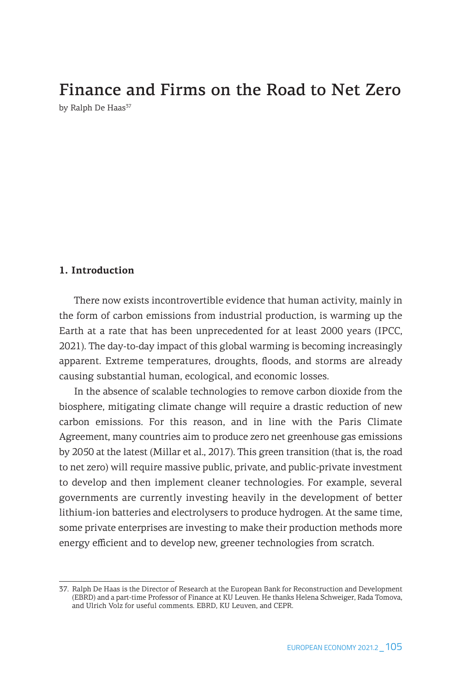# Finance and Firms on the Road to Net Zero

by Ralph De Haas<sup>37</sup>

## **1. Introduction**

There now exists incontrovertible evidence that human activity, mainly in the form of carbon emissions from industrial production, is warming up the Earth at a rate that has been unprecedented for at least 2000 years (IPCC, 2021). The day-to-day impact of this global warming is becoming increasingly apparent. Extreme temperatures, droughts, floods, and storms are already causing substantial human, ecological, and economic losses.

In the absence of scalable technologies to remove carbon dioxide from the biosphere, mitigating climate change will require a drastic reduction of new carbon emissions. For this reason, and in line with the Paris Climate Agreement, many countries aim to produce zero net greenhouse gas emissions by 2050 at the latest (Millar et al., 2017). This green transition (that is, the road to net zero) will require massive public, private, and public-private investment to develop and then implement cleaner technologies. For example, several governments are currently investing heavily in the development of better lithium-ion batteries and electrolysers to produce hydrogen. At the same time, some private enterprises are investing to make their production methods more energy efficient and to develop new, greener technologies from scratch.

<sup>37.</sup> Ralph De Haas is the Director of Research at the European Bank for Reconstruction and Development (EBRD) and a part-time Professor of Finance at KU Leuven. He thanks Helena Schweiger, Rada Tomova, and Ulrich Volz for useful comments. EBRD, KU Leuven, and CEPR.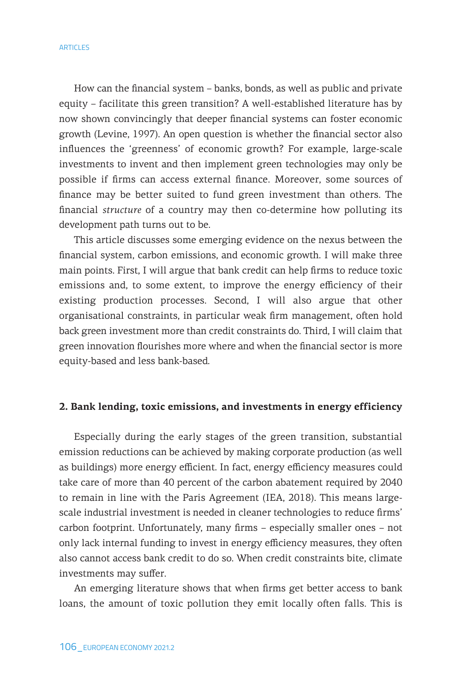#### **ARTICLES**

How can the financial system – banks, bonds, as well as public and private equity – facilitate this green transition? A well-established literature has by now shown convincingly that deeper financial systems can foster economic growth (Levine, 1997). An open question is whether the financial sector also influences the 'greenness' of economic growth? For example, large-scale investments to invent and then implement green technologies may only be possible if firms can access external finance. Moreover, some sources of finance may be better suited to fund green investment than others. The financial *structure* of a country may then co-determine how polluting its development path turns out to be.

This article discusses some emerging evidence on the nexus between the financial system, carbon emissions, and economic growth. I will make three main points. First, I will argue that bank credit can help firms to reduce toxic emissions and, to some extent, to improve the energy efficiency of their existing production processes. Second, I will also argue that other organisational constraints, in particular weak firm management, often hold back green investment more than credit constraints do. Third, I will claim that green innovation flourishes more where and when the financial sector is more equity-based and less bank-based.

### **2. Bank lending, toxic emissions, and investments in energy efficiency**

Especially during the early stages of the green transition, substantial emission reductions can be achieved by making corporate production (as well as buildings) more energy efficient. In fact, energy efficiency measures could take care of more than 40 percent of the carbon abatement required by 2040 to remain in line with the Paris Agreement (IEA, 2018). This means largescale industrial investment is needed in cleaner technologies to reduce firms' carbon footprint. Unfortunately, many firms – especially smaller ones – not only lack internal funding to invest in energy efficiency measures, they often also cannot access bank credit to do so. When credit constraints bite, climate investments may suffer.

An emerging literature shows that when firms get better access to bank loans, the amount of toxic pollution they emit locally often falls. This is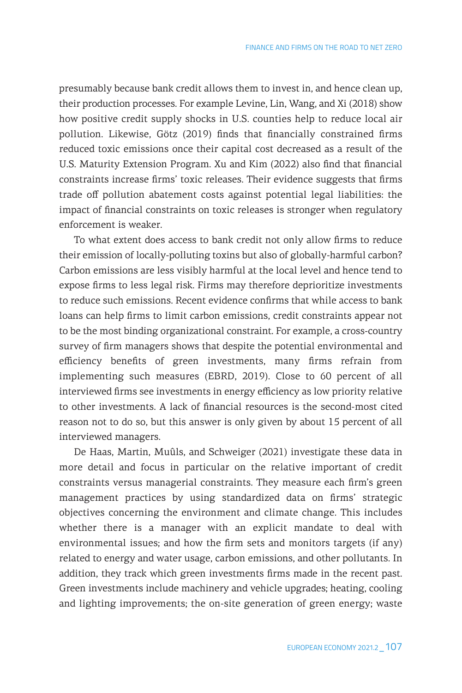presumably because bank credit allows them to invest in, and hence clean up, their production processes. For example Levine, Lin, Wang, and Xi (2018) show how positive credit supply shocks in U.S. counties help to reduce local air pollution. Likewise, Götz (2019) finds that financially constrained firms reduced toxic emissions once their capital cost decreased as a result of the U.S. Maturity Extension Program. Xu and Kim (2022) also find that financial constraints increase firms' toxic releases. Their evidence suggests that firms trade off pollution abatement costs against potential legal liabilities: the impact of financial constraints on toxic releases is stronger when regulatory enforcement is weaker.

To what extent does access to bank credit not only allow firms to reduce their emission of locally-polluting toxins but also of globally-harmful carbon? Carbon emissions are less visibly harmful at the local level and hence tend to expose firms to less legal risk. Firms may therefore deprioritize investments to reduce such emissions. Recent evidence confirms that while access to bank loans can help firms to limit carbon emissions, credit constraints appear not to be the most binding organizational constraint. For example, a cross-country survey of firm managers shows that despite the potential environmental and efficiency benefits of green investments, many firms refrain from implementing such measures (EBRD, 2019). Close to 60 percent of all interviewed firms see investments in energy efficiency as low priority relative to other investments. A lack of financial resources is the second-most cited reason not to do so, but this answer is only given by about 15 percent of all interviewed managers.

De Haas, Martin, Muûls, and Schweiger (2021) investigate these data in more detail and focus in particular on the relative important of credit constraints versus managerial constraints. They measure each firm's green management practices by using standardized data on firms' strategic objectives concerning the environment and climate change. This includes whether there is a manager with an explicit mandate to deal with environmental issues; and how the firm sets and monitors targets (if any) related to energy and water usage, carbon emissions, and other pollutants. In addition, they track which green investments firms made in the recent past. Green investments include machinery and vehicle upgrades; heating, cooling and lighting improvements; the on-site generation of green energy; waste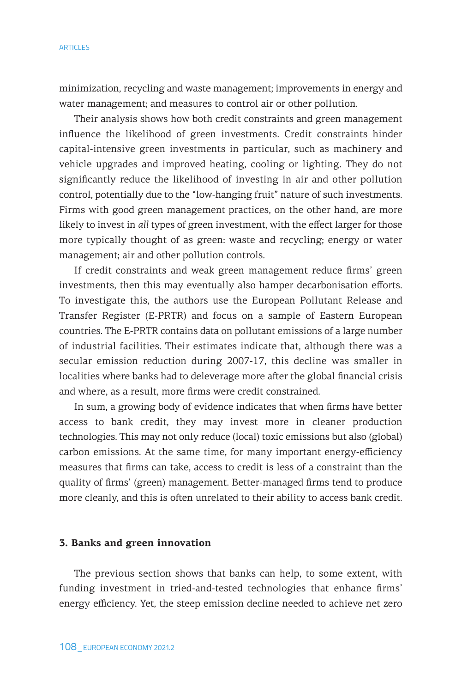minimization, recycling and waste management; improvements in energy and water management; and measures to control air or other pollution.

Their analysis shows how both credit constraints and green management influence the likelihood of green investments. Credit constraints hinder capital-intensive green investments in particular, such as machinery and vehicle upgrades and improved heating, cooling or lighting. They do not significantly reduce the likelihood of investing in air and other pollution control, potentially due to the "low-hanging fruit" nature of such investments. Firms with good green management practices, on the other hand, are more likely to invest in *all* types of green investment, with the effect larger for those more typically thought of as green: waste and recycling; energy or water management; air and other pollution controls.

If credit constraints and weak green management reduce firms' green investments, then this may eventually also hamper decarbonisation efforts. To investigate this, the authors use the European Pollutant Release and Transfer Register (E-PRTR) and focus on a sample of Eastern European countries. The E-PRTR contains data on pollutant emissions of a large number of industrial facilities. Their estimates indicate that, although there was a secular emission reduction during 2007-17, this decline was smaller in localities where banks had to deleverage more after the global financial crisis and where, as a result, more firms were credit constrained.

In sum, a growing body of evidence indicates that when firms have better access to bank credit, they may invest more in cleaner production technologies. This may not only reduce (local) toxic emissions but also (global) carbon emissions. At the same time, for many important energy-efficiency measures that firms can take, access to credit is less of a constraint than the quality of firms' (green) management. Better-managed firms tend to produce more cleanly, and this is often unrelated to their ability to access bank credit.

## **3. Banks and green innovation**

The previous section shows that banks can help, to some extent, with funding investment in tried-and-tested technologies that enhance firms' energy efficiency. Yet, the steep emission decline needed to achieve net zero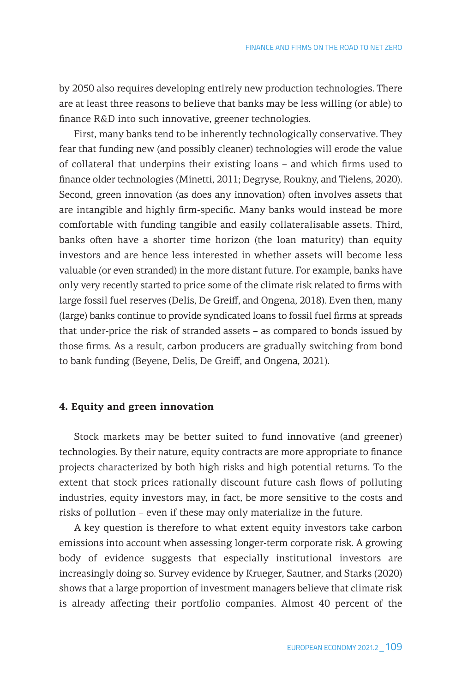by 2050 also requires developing entirely new production technologies. There are at least three reasons to believe that banks may be less willing (or able) to finance R&D into such innovative, greener technologies.

First, many banks tend to be inherently technologically conservative. They fear that funding new (and possibly cleaner) technologies will erode the value of collateral that underpins their existing loans – and which firms used to finance older technologies (Minetti, 2011; Degryse, Roukny, and Tielens, 2020). Second, green innovation (as does any innovation) often involves assets that are intangible and highly firm-specific. Many banks would instead be more comfortable with funding tangible and easily collateralisable assets. Third, banks often have a shorter time horizon (the loan maturity) than equity investors and are hence less interested in whether assets will become less valuable (or even stranded) in the more distant future. For example, banks have only very recently started to price some of the climate risk related to firms with large fossil fuel reserves (Delis, De Greiff, and Ongena, 2018). Even then, many (large) banks continue to provide syndicated loans to fossil fuel firms at spreads that under-price the risk of stranded assets – as compared to bonds issued by those firms. As a result, carbon producers are gradually switching from bond to bank funding (Beyene, Delis, De Greiff, and Ongena, 2021).

## **4. Equity and green innovation**

Stock markets may be better suited to fund innovative (and greener) technologies. By their nature, equity contracts are more appropriate to finance projects characterized by both high risks and high potential returns. To the extent that stock prices rationally discount future cash flows of polluting industries, equity investors may, in fact, be more sensitive to the costs and risks of pollution – even if these may only materialize in the future.

A key question is therefore to what extent equity investors take carbon emissions into account when assessing longer-term corporate risk. A growing body of evidence suggests that especially institutional investors are increasingly doing so. Survey evidence by Krueger, Sautner, and Starks (2020) shows that a large proportion of investment managers believe that climate risk is already affecting their portfolio companies. Almost 40 percent of the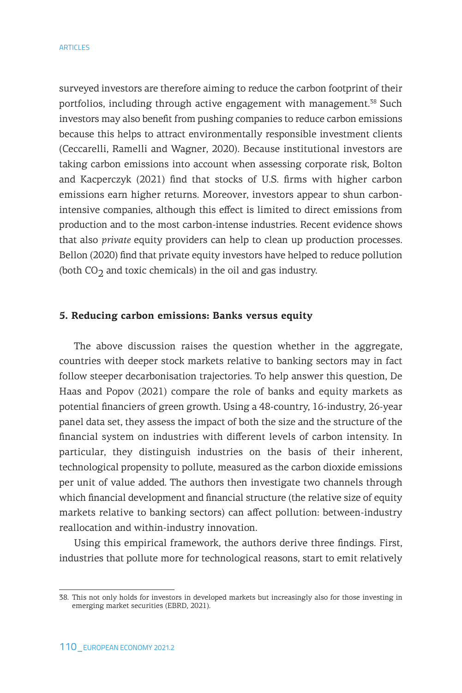surveyed investors are therefore aiming to reduce the carbon footprint of their portfolios, including through active engagement with management.<sup>38</sup> Such investors may also benefit from pushing companies to reduce carbon emissions because this helps to attract environmentally responsible investment clients (Ceccarelli, Ramelli and Wagner, 2020). Because institutional investors are taking carbon emissions into account when assessing corporate risk, Bolton and Kacperczyk (2021) find that stocks of U.S. firms with higher carbon emissions earn higher returns. Moreover, investors appear to shun carbonintensive companies, although this effect is limited to direct emissions from production and to the most carbon-intense industries. Recent evidence shows that also *private* equity providers can help to clean up production processes. Bellon (2020) find that private equity investors have helped to reduce pollution (both  $CO<sub>2</sub>$  and toxic chemicals) in the oil and gas industry.

## **5. Reducing carbon emissions: Banks versus equity**

The above discussion raises the question whether in the aggregate, countries with deeper stock markets relative to banking sectors may in fact follow steeper decarbonisation trajectories. To help answer this question, De Haas and Popov (2021) compare the role of banks and equity markets as potential financiers of green growth. Using a 48-country, 16-industry, 26-year panel data set, they assess the impact of both the size and the structure of the financial system on industries with different levels of carbon intensity. In particular, they distinguish industries on the basis of their inherent, technological propensity to pollute, measured as the carbon dioxide emissions per unit of value added. The authors then investigate two channels through which financial development and financial structure (the relative size of equity markets relative to banking sectors) can affect pollution: between-industry reallocation and within-industry innovation.

Using this empirical framework, the authors derive three findings. First, industries that pollute more for technological reasons, start to emit relatively

<sup>38.</sup> This not only holds for investors in developed markets but increasingly also for those investing in emerging market securities (EBRD, 2021).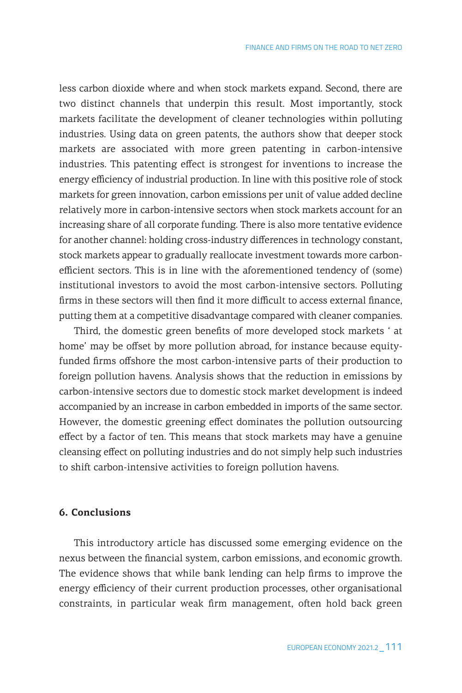less carbon dioxide where and when stock markets expand. Second, there are two distinct channels that underpin this result. Most importantly, stock markets facilitate the development of cleaner technologies within polluting industries. Using data on green patents, the authors show that deeper stock markets are associated with more green patenting in carbon-intensive industries. This patenting effect is strongest for inventions to increase the energy efficiency of industrial production. In line with this positive role of stock markets for green innovation, carbon emissions per unit of value added decline relatively more in carbon-intensive sectors when stock markets account for an increasing share of all corporate funding. There is also more tentative evidence for another channel: holding cross-industry differences in technology constant, stock markets appear to gradually reallocate investment towards more carbonefficient sectors. This is in line with the aforementioned tendency of (some) institutional investors to avoid the most carbon-intensive sectors. Polluting firms in these sectors will then find it more difficult to access external finance, putting them at a competitive disadvantage compared with cleaner companies.

Third, the domestic green benefits of more developed stock markets ' at home' may be offset by more pollution abroad, for instance because equityfunded firms offshore the most carbon-intensive parts of their production to foreign pollution havens. Analysis shows that the reduction in emissions by carbon-intensive sectors due to domestic stock market development is indeed accompanied by an increase in carbon embedded in imports of the same sector. However, the domestic greening effect dominates the pollution outsourcing effect by a factor of ten. This means that stock markets may have a genuine cleansing effect on polluting industries and do not simply help such industries to shift carbon-intensive activities to foreign pollution havens.

#### **6. Conclusions**

This introductory article has discussed some emerging evidence on the nexus between the financial system, carbon emissions, and economic growth. The evidence shows that while bank lending can help firms to improve the energy efficiency of their current production processes, other organisational constraints, in particular weak firm management, often hold back green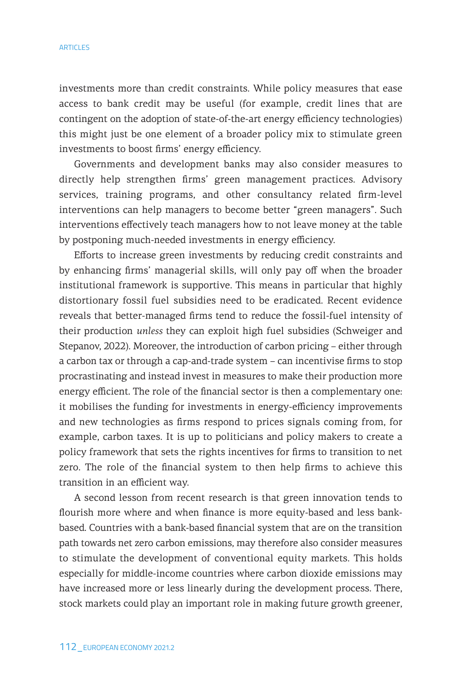#### **ARTICLES**

investments more than credit constraints. While policy measures that ease access to bank credit may be useful (for example, credit lines that are contingent on the adoption of state-of-the-art energy efficiency technologies) this might just be one element of a broader policy mix to stimulate green investments to boost firms' energy efficiency.

Governments and development banks may also consider measures to directly help strengthen firms' green management practices. Advisory services, training programs, and other consultancy related firm-level interventions can help managers to become better "green managers". Such interventions effectively teach managers how to not leave money at the table by postponing much-needed investments in energy efficiency.

Efforts to increase green investments by reducing credit constraints and by enhancing firms' managerial skills, will only pay off when the broader institutional framework is supportive. This means in particular that highly distortionary fossil fuel subsidies need to be eradicated. Recent evidence reveals that better-managed firms tend to reduce the fossil-fuel intensity of their production *unless* they can exploit high fuel subsidies (Schweiger and Stepanov, 2022). Moreover, the introduction of carbon pricing – either through a carbon tax or through a cap-and-trade system – can incentivise firms to stop procrastinating and instead invest in measures to make their production more energy efficient. The role of the financial sector is then a complementary one: it mobilises the funding for investments in energy-efficiency improvements and new technologies as firms respond to prices signals coming from, for example, carbon taxes. It is up to politicians and policy makers to create a policy framework that sets the rights incentives for firms to transition to net zero. The role of the financial system to then help firms to achieve this transition in an efficient way.

A second lesson from recent research is that green innovation tends to flourish more where and when finance is more equity-based and less bankbased. Countries with a bank-based financial system that are on the transition path towards net zero carbon emissions, may therefore also consider measures to stimulate the development of conventional equity markets. This holds especially for middle-income countries where carbon dioxide emissions may have increased more or less linearly during the development process. There, stock markets could play an important role in making future growth greener,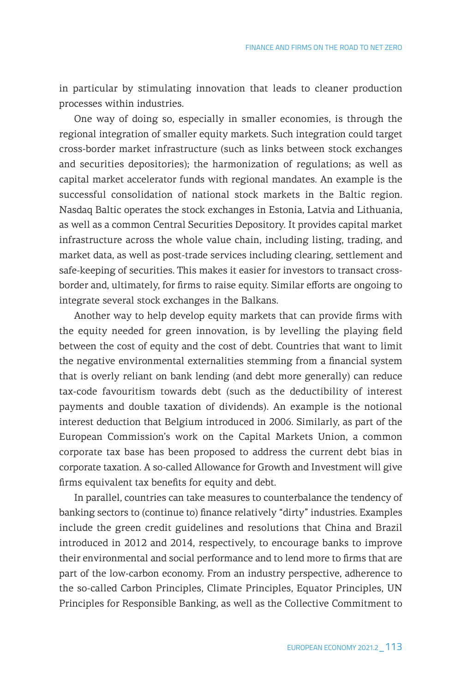in particular by stimulating innovation that leads to cleaner production processes within industries.

One way of doing so, especially in smaller economies, is through the regional integration of smaller equity markets. Such integration could target cross-border market infrastructure (such as links between stock exchanges and securities depositories); the harmonization of regulations; as well as capital market accelerator funds with regional mandates. An example is the successful consolidation of national stock markets in the Baltic region. Nasdaq Baltic operates the stock exchanges in Estonia, Latvia and Lithuania, as well as a common Central Securities Depository. It provides capital market infrastructure across the whole value chain, including listing, trading, and market data, as well as post-trade services including clearing, settlement and safe-keeping of securities. This makes it easier for investors to transact crossborder and, ultimately, for firms to raise equity. Similar efforts are ongoing to integrate several stock exchanges in the Balkans.

Another way to help develop equity markets that can provide firms with the equity needed for green innovation, is by levelling the playing field between the cost of equity and the cost of debt. Countries that want to limit the negative environmental externalities stemming from a financial system that is overly reliant on bank lending (and debt more generally) can reduce tax-code favouritism towards debt (such as the deductibility of interest payments and double taxation of dividends). An example is the notional interest deduction that Belgium introduced in 2006. Similarly, as part of the European Commission's work on the Capital Markets Union, a common corporate tax base has been proposed to address the current debt bias in corporate taxation. A so-called Allowance for Growth and Investment will give firms equivalent tax benefits for equity and debt.

In parallel, countries can take measures to counterbalance the tendency of banking sectors to (continue to) finance relatively "dirty" industries. Examples include the green credit guidelines and resolutions that China and Brazil introduced in 2012 and 2014, respectively, to encourage banks to improve their environmental and social performance and to lend more to firms that are part of the low-carbon economy. From an industry perspective, adherence to the so-called Carbon Principles, Climate Principles, Equator Principles, UN Principles for Responsible Banking, as well as the Collective Commitment to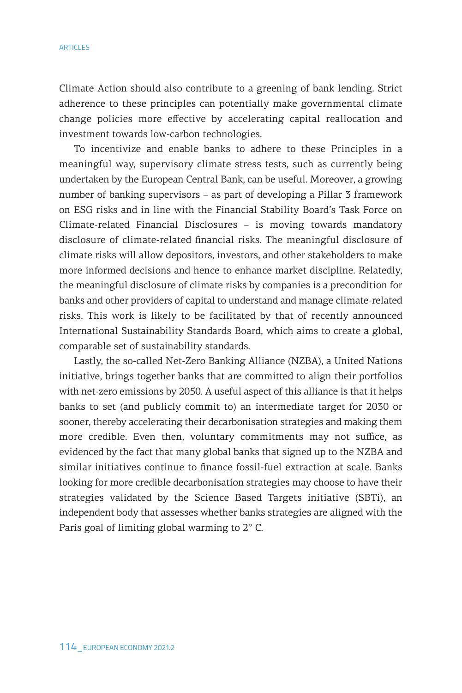#### **ARTICLES**

Climate Action should also contribute to a greening of bank lending. Strict adherence to these principles can potentially make governmental climate change policies more effective by accelerating capital reallocation and investment towards low-carbon technologies.

To incentivize and enable banks to adhere to these Principles in a meaningful way, supervisory climate stress tests, such as currently being undertaken by the European Central Bank, can be useful. Moreover, a growing number of banking supervisors – as part of developing a Pillar 3 framework on ESG risks and in line with the Financial Stability Board's Task Force on Climate-related Financial Disclosures – is moving towards mandatory disclosure of climate-related financial risks. The meaningful disclosure of climate risks will allow depositors, investors, and other stakeholders to make more informed decisions and hence to enhance market discipline. Relatedly, the meaningful disclosure of climate risks by companies is a precondition for banks and other providers of capital to understand and manage climate-related risks. This work is likely to be facilitated by that of recently announced International Sustainability Standards Board, which aims to create a global, comparable set of sustainability standards.

Lastly, the so-called Net-Zero Banking Alliance (NZBA), a United Nations initiative, brings together banks that are committed to align their portfolios with net-zero emissions by 2050. A useful aspect of this alliance is that it helps banks to set (and publicly commit to) an intermediate target for 2030 or sooner, thereby accelerating their decarbonisation strategies and making them more credible. Even then, voluntary commitments may not suffice, as evidenced by the fact that many global banks that signed up to the NZBA and similar initiatives continue to finance fossil-fuel extraction at scale. Banks looking for more credible decarbonisation strategies may choose to have their strategies validated by the Science Based Targets initiative (SBTi), an independent body that assesses whether banks strategies are aligned with the Paris goal of limiting global warming to 2° C.